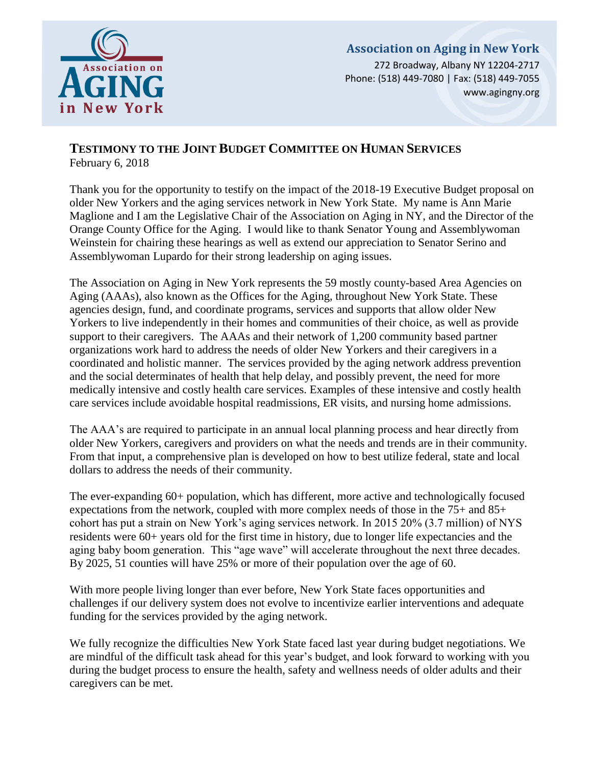

# **Association on Aging in New York**

272 Broadway, Albany NY 12204-2717 Phone: (518) 449-7080 | Fax: (518) 449-7055 www.agingny.org

## **TESTIMONY TO THE JOINT BUDGET COMMITTEE ON HUMAN SERVICES** February 6, 2018

Thank you for the opportunity to testify on the impact of the 2018-19 Executive Budget proposal on older New Yorkers and the aging services network in New York State. My name is Ann Marie Maglione and I am the Legislative Chair of the Association on Aging in NY, and the Director of the Orange County Office for the Aging. I would like to thank Senator Young and Assemblywoman Weinstein for chairing these hearings as well as extend our appreciation to Senator Serino and Assemblywoman Lupardo for their strong leadership on aging issues.

The Association on Aging in New York represents the 59 mostly county-based Area Agencies on Aging (AAAs), also known as the Offices for the Aging, throughout New York State. These agencies design, fund, and coordinate programs, services and supports that allow older New Yorkers to live independently in their homes and communities of their choice, as well as provide support to their caregivers. The AAAs and their network of 1,200 community based partner organizations work hard to address the needs of older New Yorkers and their caregivers in a coordinated and holistic manner. The services provided by the aging network address prevention and the social determinates of health that help delay, and possibly prevent, the need for more medically intensive and costly health care services. Examples of these intensive and costly health care services include avoidable hospital readmissions, ER visits, and nursing home admissions.

The AAA's are required to participate in an annual local planning process and hear directly from older New Yorkers, caregivers and providers on what the needs and trends are in their community. From that input, a comprehensive plan is developed on how to best utilize federal, state and local dollars to address the needs of their community.

The ever-expanding 60+ population, which has different, more active and technologically focused expectations from the network, coupled with more complex needs of those in the 75+ and 85+ cohort has put a strain on New York's aging services network. In 2015 20% (3.7 million) of NYS residents were 60+ years old for the first time in history, due to longer life expectancies and the aging baby boom generation. This "age wave" will accelerate throughout the next three decades. By 2025, 51 counties will have 25% or more of their population over the age of 60.

With more people living longer than ever before, New York State faces opportunities and challenges if our delivery system does not evolve to incentivize earlier interventions and adequate funding for the services provided by the aging network.

We fully recognize the difficulties New York State faced last year during budget negotiations. We are mindful of the difficult task ahead for this year's budget, and look forward to working with you during the budget process to ensure the health, safety and wellness needs of older adults and their caregivers can be met.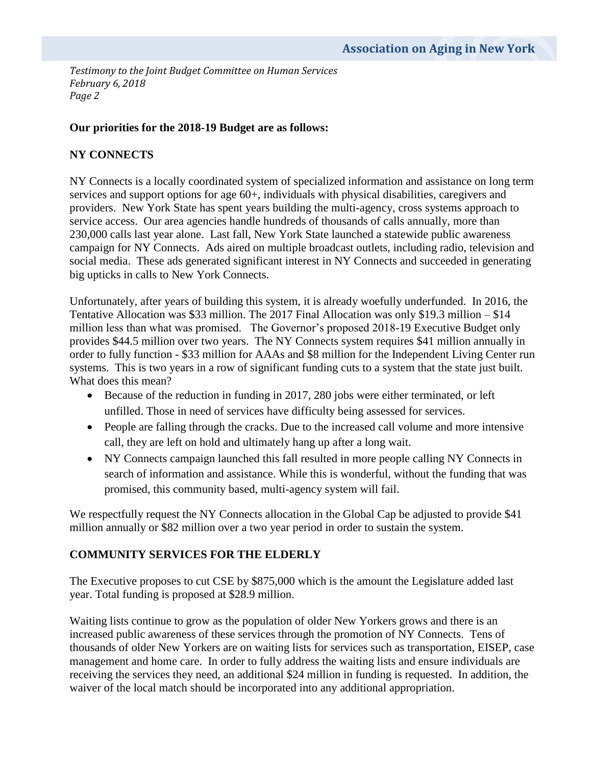### **Our priorities for the 2018-19 Budget are as follows:**

### **NY CONNECTS**

NY Connects is a locally coordinated system of specialized information and assistance on long term services and support options for age 60+, individuals with physical disabilities, caregivers and providers. New York State has spent years building the multi-agency, cross systems approach to service access. Our area agencies handle hundreds of thousands of calls annually, more than 230,000 calls last year alone. Last fall, New York State launched a statewide public awareness campaign for NY Connects. Ads aired on multiple broadcast outlets, including radio, television and social media. These ads generated significant interest in NY Connects and succeeded in generating big upticks in calls to New York Connects.

Unfortunately, after years of building this system, it is already woefully underfunded. In 2016, the Tentative Allocation was \$33 million. The 2017 Final Allocation was only \$19.3 million – \$14 million less than what was promised. The Governor's proposed 2018-19 Executive Budget only provides \$44.5 million over two years. The NY Connects system requires \$41 million annually in order to fully function - \$33 million for AAAs and \$8 million for the Independent Living Center run systems. This is two years in a row of significant funding cuts to a system that the state just built. What does this mean?

- Because of the reduction in funding in 2017, 280 jobs were either terminated, or left unfilled. Those in need of services have difficulty being assessed for services.
- People are falling through the cracks. Due to the increased call volume and more intensive call, they are left on hold and ultimately hang up after a long wait.
- NY Connects campaign launched this fall resulted in more people calling NY Connects in search of information and assistance. While this is wonderful, without the funding that was promised, this community based, multi-agency system will fail.

We respectfully request the NY Connects allocation in the Global Cap be adjusted to provide \$41 million annually or \$82 million over a two year period in order to sustain the system.

#### **COMMUNITY SERVICES FOR THE ELDERLY**

The Executive proposes to cut CSE by \$875,000 which is the amount the Legislature added last year. Total funding is proposed at \$28.9 million.

Waiting lists continue to grow as the population of older New Yorkers grows and there is an increased public awareness of these services through the promotion of NY Connects. Tens of thousands of older New Yorkers are on waiting lists for services such as transportation, EISEP, case management and home care. In order to fully address the waiting lists and ensure individuals are receiving the services they need, an additional \$24 million in funding is requested. In addition, the waiver of the local match should be incorporated into any additional appropriation.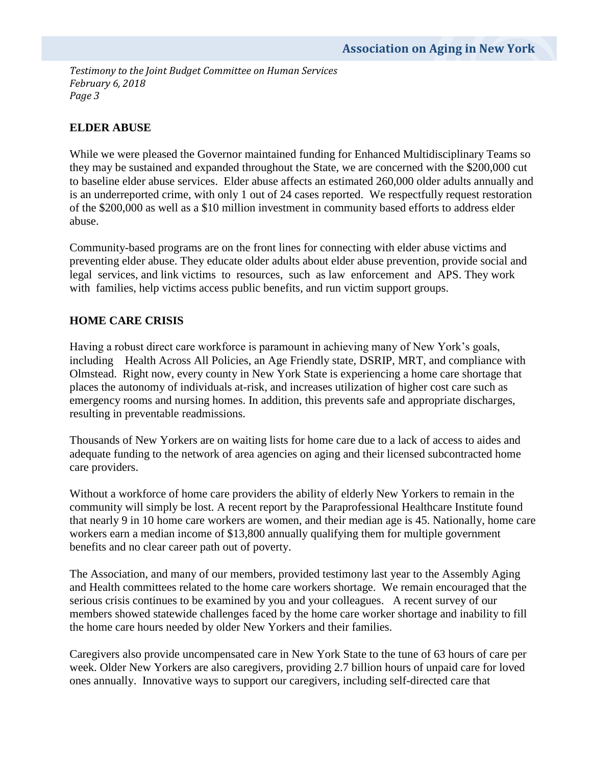## **ELDER ABUSE**

While we were pleased the Governor maintained funding for Enhanced Multidisciplinary Teams so they may be sustained and expanded throughout the State, we are concerned with the \$200,000 cut to baseline elder abuse services. Elder abuse affects an estimated 260,000 older adults annually and is an underreported crime, with only 1 out of 24 cases reported. We respectfully request restoration of the \$200,000 as well as a \$10 million investment in community based efforts to address elder abuse.

Community-based programs are on the front lines for connecting with elder abuse victims and preventing elder abuse. They educate older adults about elder abuse prevention, provide social and legal services, and link victims to resources, such as law enforcement and APS. They work with families, help victims access public benefits, and run victim support groups.

## **HOME CARE CRISIS**

Having a robust direct care workforce is paramount in achieving many of New York's goals, including Health Across All Policies, an Age Friendly state, DSRIP, MRT, and compliance with Olmstead. Right now, every county in New York State is experiencing a home care shortage that places the autonomy of individuals at-risk, and increases utilization of higher cost care such as emergency rooms and nursing homes. In addition, this prevents safe and appropriate discharges, resulting in preventable readmissions.

Thousands of New Yorkers are on waiting lists for home care due to a lack of access to aides and adequate funding to the network of area agencies on aging and their licensed subcontracted home care providers.

Without a workforce of home care providers the ability of elderly New Yorkers to remain in the community will simply be lost. A recent report by the Paraprofessional Healthcare Institute found that nearly 9 in 10 home care workers are women, and their median age is 45. Nationally, home care workers earn a median income of \$13,800 annually qualifying them for multiple government benefits and no clear career path out of poverty.

The Association, and many of our members, provided testimony last year to the Assembly Aging and Health committees related to the home care workers shortage. We remain encouraged that the serious crisis continues to be examined by you and your colleagues. A recent survey of our members showed statewide challenges faced by the home care worker shortage and inability to fill the home care hours needed by older New Yorkers and their families.

Caregivers also provide uncompensated care in New York State to the tune of 63 hours of care per week. Older New Yorkers are also caregivers, providing 2.7 billion hours of unpaid care for loved ones annually. Innovative ways to support our caregivers, including self-directed care that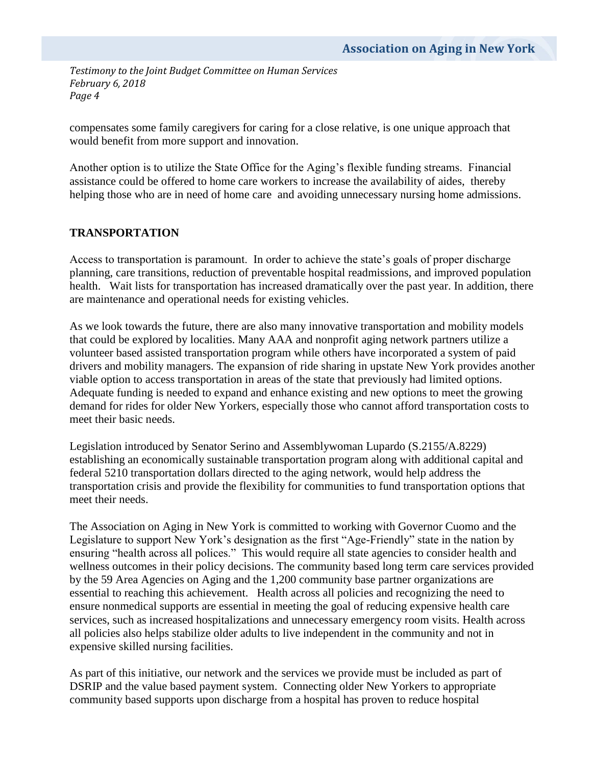compensates some family caregivers for caring for a close relative, is one unique approach that would benefit from more support and innovation.

Another option is to utilize the State Office for the Aging's flexible funding streams. Financial assistance could be offered to home care workers to increase the availability of aides, thereby helping those who are in need of home care and avoiding unnecessary nursing home admissions.

## **TRANSPORTATION**

Access to transportation is paramount. In order to achieve the state's goals of proper discharge planning, care transitions, reduction of preventable hospital readmissions, and improved population health. Wait lists for transportation has increased dramatically over the past year. In addition, there are maintenance and operational needs for existing vehicles.

As we look towards the future, there are also many innovative transportation and mobility models that could be explored by localities. Many AAA and nonprofit aging network partners utilize a volunteer based assisted transportation program while others have incorporated a system of paid drivers and mobility managers. The expansion of ride sharing in upstate New York provides another viable option to access transportation in areas of the state that previously had limited options. Adequate funding is needed to expand and enhance existing and new options to meet the growing demand for rides for older New Yorkers, especially those who cannot afford transportation costs to meet their basic needs.

Legislation introduced by Senator Serino and Assemblywoman Lupardo (S.2155/A.8229) establishing an economically sustainable transportation program along with additional capital and federal 5210 transportation dollars directed to the aging network, would help address the transportation crisis and provide the flexibility for communities to fund transportation options that meet their needs.

The Association on Aging in New York is committed to working with Governor Cuomo and the Legislature to support New York's designation as the first "Age-Friendly" state in the nation by ensuring "health across all polices." This would require all state agencies to consider health and wellness outcomes in their policy decisions. The community based long term care services provided by the 59 Area Agencies on Aging and the 1,200 community base partner organizations are essential to reaching this achievement. Health across all policies and recognizing the need to ensure nonmedical supports are essential in meeting the goal of reducing expensive health care services, such as increased hospitalizations and unnecessary emergency room visits. Health across all policies also helps stabilize older adults to live independent in the community and not in expensive skilled nursing facilities.

As part of this initiative, our network and the services we provide must be included as part of DSRIP and the value based payment system. Connecting older New Yorkers to appropriate community based supports upon discharge from a hospital has proven to reduce hospital